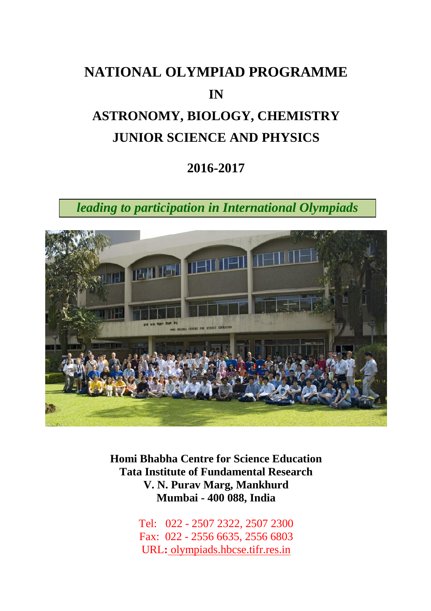# **NATIONAL OLYMPIAD PROGRAMME IN ASTRONOMY, BIOLOGY, CHEMISTRY JUNIOR SCIENCE AND PHYSICS**

### **2016-2017**

*leading to participation in International Olympiads*



**Homi Bhabha Centre for Science Education Tata Institute of Fundamental Research V. N. Purav Marg, Mankhurd Mumbai - 400 088, India**

> Tel: 022 - 2507 2322, 2507 2300 Fax: 022 - 2556 6635, 2556 6803 URL**:** olympiads.hbcse.tifr.res.in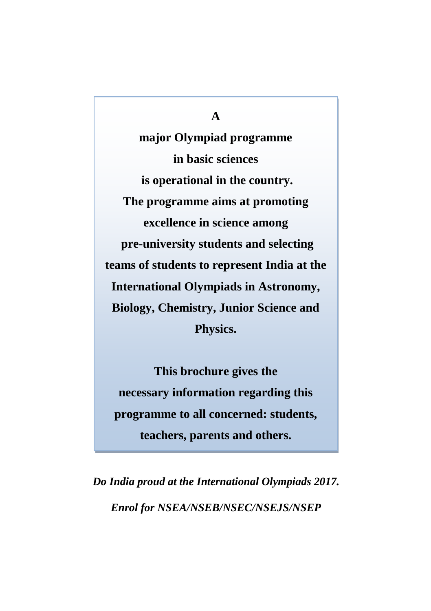#### **A**

**major Olympiad programme in basic sciences is operational in the country. The programme aims at promoting excellence in science among pre-university students and selecting teams of students to represent India at the International Olympiads in Astronomy, Biology, Chemistry, Junior Science and Physics.**

**This brochure gives the necessary information regarding this programme to all concerned: students, teachers, parents and others.**

*Do India proud at the International Olympiads 2017. Enrol for NSEA/NSEB/NSEC/NSEJS/NSEP*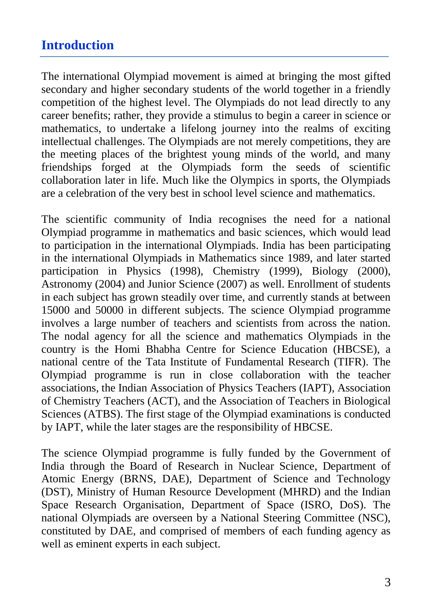### **Introduction**

The international Olympiad movement is aimed at bringing the most gifted secondary and higher secondary students of the world together in a friendly competition of the highest level. The Olympiads do not lead directly to any career benefits; rather, they provide a stimulus to begin a career in science or mathematics, to undertake a lifelong journey into the realms of exciting intellectual challenges. The Olympiads are not merely competitions, they are the meeting places of the brightest young minds of the world, and many friendships forged at the Olympiads form the seeds of scientific collaboration later in life. Much like the Olympics in sports, the Olympiads are a celebration of the very best in school level science and mathematics.

The scientific community of India recognises the need for a national Olympiad programme in mathematics and basic sciences, which would lead to participation in the international Olympiads. India has been participating in the international Olympiads in Mathematics since 1989, and later started participation in Physics (1998), Chemistry (1999), Biology (2000), Astronomy (2004) and Junior Science (2007) as well. Enrollment of students in each subject has grown steadily over time, and currently stands at between 15000 and 50000 in different subjects. The science Olympiad programme involves a large number of teachers and scientists from across the nation. The nodal agency for all the science and mathematics Olympiads in the country is the Homi Bhabha Centre for Science Education (HBCSE), a national centre of the Tata Institute of Fundamental Research (TIFR). The Olympiad programme is run in close collaboration with the teacher associations, the Indian Association of Physics Teachers (IAPT), Association of Chemistry Teachers (ACT), and the Association of Teachers in Biological Sciences (ATBS). The first stage of the Olympiad examinations is conducted by IAPT, while the later stages are the responsibility of HBCSE.

The science Olympiad programme is fully funded by the Government of India through the Board of Research in Nuclear Science, Department of Atomic Energy (BRNS, DAE), Department of Science and Technology (DST), Ministry of Human Resource Development (MHRD) and the Indian Space Research Organisation, Department of Space (ISRO, DoS). The national Olympiads are overseen by a National Steering Committee (NSC), constituted by DAE, and comprised of members of each funding agency as well as eminent experts in each subject.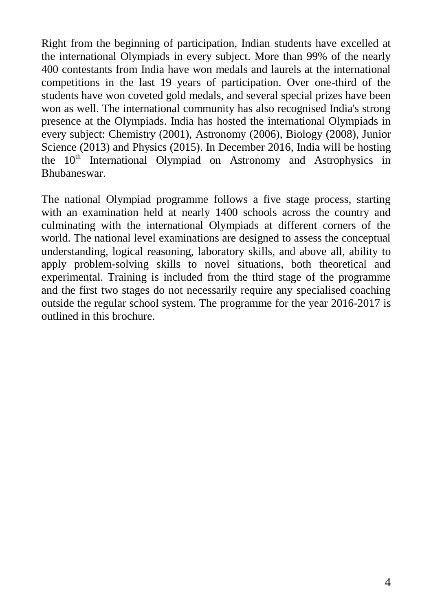Right from the beginning of participation, Indian students have excelled at the international Olympiads in every subject. More than 99% of the nearly 400 contestants from India have won medals and laurels at the international competitions in the last 19 years of participation. Over one-third of the students have won coveted gold medals, and several special prizes have been won as well. The international community has also recognised India's strong presence at the Olympiads. India has hosted the international Olympiads in every subject: Chemistry (2001), Astronomy (2006), Biology (2008), Junior Science (2013) and Physics (2015). In December 2016, India will be hosting the 10<sup>th</sup> International Olympiad on Astronomy and Astrophysics in Bhubaneswar.

The national Olympiad programme follows a five stage process, starting with an examination held at nearly 1400 schools across the country and culminating with the international Olympiads at different corners of the world. The national level examinations are designed to assess the conceptual understanding, logical reasoning, laboratory skills, and above all, ability to apply problem-solving skills to novel situations, both theoretical and experimental. Training is included from the third stage of the programme and the first two stages do not necessarily require any specialised coaching outside the regular school system. The programme for the year 2016-2017 is outlined in this brochure.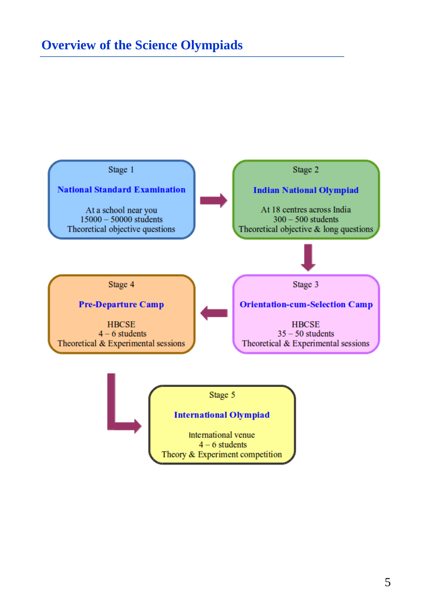# **Overview of the Science Olympiads**



Stage 5

#### **International Olympiad**

International venue  $4 - 6$  students Theory & Experiment competition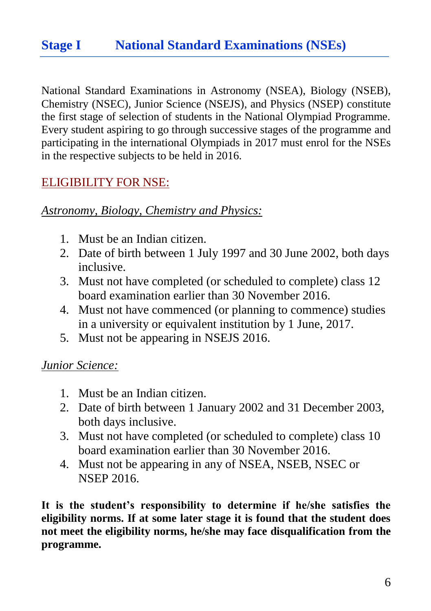# **Stage I National Standard Examinations (NSEs)**

National Standard Examinations in Astronomy (NSEA), Biology (NSEB), Chemistry (NSEC), Junior Science (NSEJS), and Physics (NSEP) constitute the first stage of selection of students in the National Olympiad Programme. Every student aspiring to go through successive stages of the programme and participating in the international Olympiads in 2017 must enrol for the NSEs in the respective subjects to be held in 2016.

### ELIGIBILITY FOR NSE:

#### *Astronomy, Biology, Chemistry and Physics:*

- 1. Must be an Indian citizen.
- 2. Date of birth between 1 July 1997 and 30 June 2002, both days inclusive.
- 3. Must not have completed (or scheduled to complete) class 12 board examination earlier than 30 November 2016.
- 4. Must not have commenced (or planning to commence) studies in a university or equivalent institution by 1 June, 2017.
- 5. Must not be appearing in NSEJS 2016.

#### *Junior Science:*

- 1. Must be an Indian citizen.
- 2. Date of birth between 1 January 2002 and 31 December 2003, both days inclusive.
- 3. Must not have completed (or scheduled to complete) class 10 board examination earlier than 30 November 2016.
- 4. Must not be appearing in any of NSEA, NSEB, NSEC or NSEP 2016.

**It is the student's responsibility to determine if he/she satisfies the eligibility norms. If at some later stage it is found that the student does not meet the eligibility norms, he/she may face disqualification from the programme.**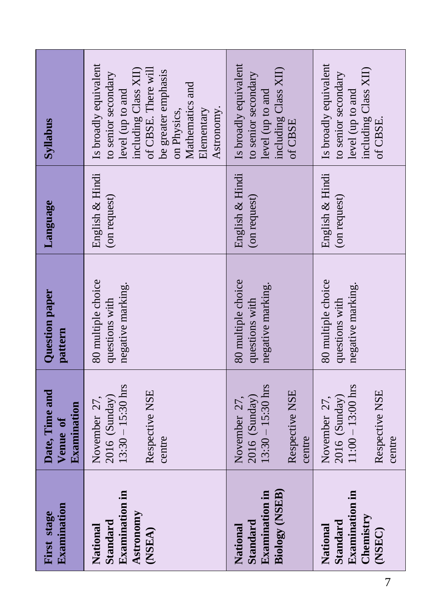| Syllabus                                  | Is broadly equivalent<br>including Class XII)<br>of CBSE. There will<br>be greater emphasis<br>to senior secondary<br>Mathematics and<br>level (up to and<br>Astronomy.<br>Elementary<br>on Physics, | Is broadly equivalent<br>including Class XII)<br>to senior secondary<br>level (up to and<br>of CBSE | Is broadly equivalent<br>including Class XII)<br>to senior secondary<br>level (up to and<br>of CBSE |
|-------------------------------------------|------------------------------------------------------------------------------------------------------------------------------------------------------------------------------------------------------|-----------------------------------------------------------------------------------------------------|-----------------------------------------------------------------------------------------------------|
| Language                                  | English & Hindi<br>(on request)                                                                                                                                                                      | English & Hindi<br>(on request)                                                                     | English & Hindi<br>(on request)                                                                     |
| Question paper<br>pattern                 | 80 multiple choice<br>negative marking.<br>questions with                                                                                                                                            | 80 multiple choice<br>negative marking.<br>questions with                                           | 80 multiple choice<br>negative marking.<br>questions with                                           |
| Date, Time and<br>Examination<br>Venue of | $13:30 - 15:30$ hrs<br>Respective NSE<br>$2016$ (Sunday)<br>November 27,<br>centre                                                                                                                   | $13:30 - 15:30$ hrs<br>Respective NSE<br>$2016$ (Sunday)<br>November 27,<br>centre                  | $11:00 - 13:00$ hrs<br>Respective NSE<br>2016 (Sunday)<br>November 27,<br>centre                    |
| Examination<br>First stage                | <b>Examination</b> in<br>Astronomy<br>Standard<br>National<br>(NSEA)                                                                                                                                 | Biology (NSEB)<br><b>Examination</b> in<br>Standard<br>National                                     | <b>Examination</b> in<br>Chemistry<br>Standard<br>National<br>(NSEC)                                |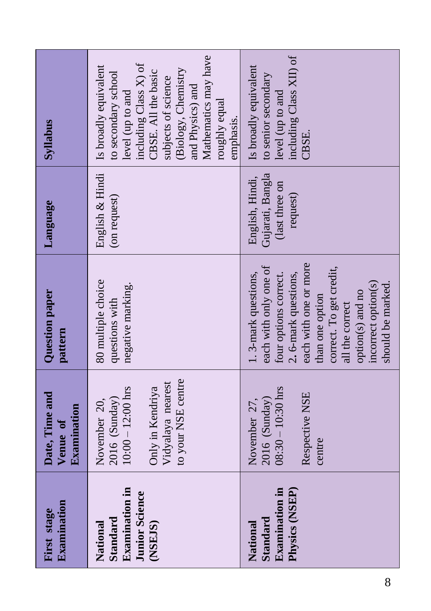| Examination<br>First stage                                                         | Date, Time and<br>Examination<br>Venue of                                                                             | Question paper<br>pattern                                                                                                                                                                                                                               | Language                                                          | Syllabus                                                                                                                                                                                                                                 |
|------------------------------------------------------------------------------------|-----------------------------------------------------------------------------------------------------------------------|---------------------------------------------------------------------------------------------------------------------------------------------------------------------------------------------------------------------------------------------------------|-------------------------------------------------------------------|------------------------------------------------------------------------------------------------------------------------------------------------------------------------------------------------------------------------------------------|
| <b>Examination</b> in<br><b>Junior Science</b><br>Standard<br>National<br>(NSE.JS) | to your NSE centre<br>Vidyalaya nearest<br>Only in Kendriya<br>$10:00 - 12:00$ hrs<br>$2016$ (Sunday)<br>November 20, | 80 multiple choice<br>negative marking.<br>questions with                                                                                                                                                                                               | English & Hindi<br>(on request)                                   | Mathematics may have<br>including Class X) of<br>Is broadly equivalent<br>(Biology, Chemistry<br>CBSE. All the basic<br>to secondary school<br>subjects of science<br>and Physics) and<br>level (up to and<br>roughly equal<br>emphasis. |
| <b>Examination in</b><br>Physics (NSEP)<br>Standard<br>National                    | $08:30 - 10:30$ hrs<br>Respective NSE<br>$2016$ (Sunday)<br>November 27,<br>centre                                    | each with one or more<br>each with only one of<br>correct. To get credit,<br>. 3-mark questions,<br>2. 6-mark questions,<br>four options correct.<br>incorrect option(s)<br>should be marked.<br>option(s) and no<br>than one option<br>all the correct | Gujarati, Bangla<br>English, Hindi,<br>(last three on<br>request) | including Class XII) of<br>Is broadly equivalent<br>to senior secondary<br>level (up to and<br>CBSE.                                                                                                                                     |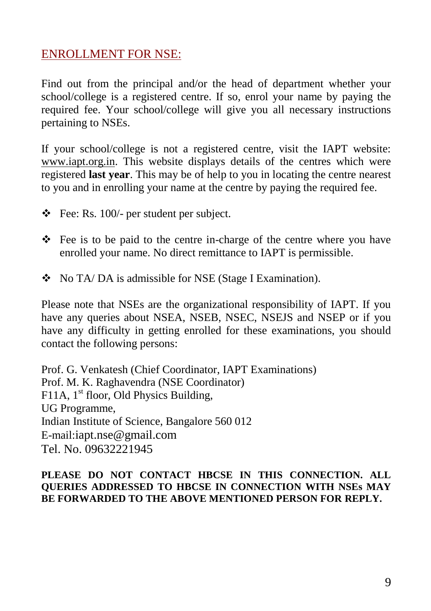### ENROLLMENT FOR NSE:

Find out from the principal and/or the head of department whether your school/college is a registered centre. If so, enrol your name by paying the required fee. Your school/college will give you all necessary instructions pertaining to NSEs.

If your school/college is not a registered centre, visit the IAPT website: www.iapt.org.in. This website displays details of the centres which were registered **last year**. This may be of help to you in locating the centre nearest to you and in enrolling your name at the centre by paying the required fee.

- $\div$  Fee: Rs. 100/- per student per subject.
- $\div$  Fee is to be paid to the centre in-charge of the centre where you have enrolled your name. No direct remittance to IAPT is permissible.
- No TA/ DA is admissible for NSE (Stage I Examination).

Please note that NSEs are the organizational responsibility of IAPT. If you have any queries about NSEA, NSEB, NSEC, NSEJS and NSEP or if you have any difficulty in getting enrolled for these examinations, you should contact the following persons:

Prof. G. Venkatesh (Chief Coordinator, IAPT Examinations) Prof. M. K. Raghavendra (NSE Coordinator) F11A,  $1<sup>st</sup>$  floor, Old Physics Building, UG Programme, Indian Institute of Science, Bangalore 560 012 E-mail:iapt.nse@gmail.com Tel. No. 09632221945

#### **PLEASE DO NOT CONTACT HBCSE IN THIS CONNECTION. ALL QUERIES ADDRESSED TO HBCSE IN CONNECTION WITH NSEs MAY BE FORWARDED TO THE ABOVE MENTIONED PERSON FOR REPLY.**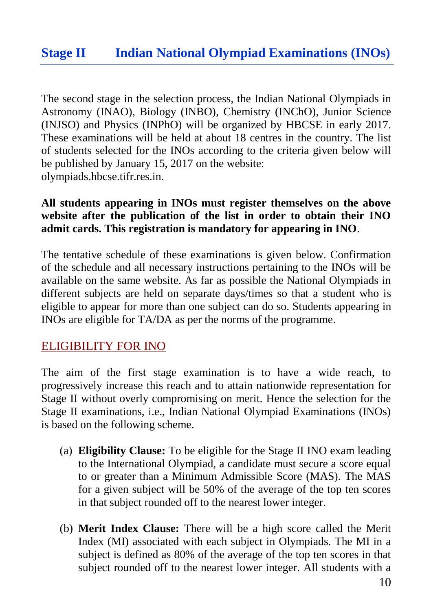### **Stage II Indian National Olympiad Examinations (INOs)**

The second stage in the selection process, the Indian National Olympiads in Astronomy (INAO), Biology (INBO), Chemistry (INChO), Junior Science (INJSO) and Physics (INPhO) will be organized by HBCSE in early 2017. These examinations will be held at about 18 centres in the country. The list of students selected for the INOs according to the criteria given below will be published by January 15, 2017 on the website: olympiads.hbcse.tifr.res.in.

#### **All students appearing in INOs must register themselves on the above website after the publication of the list in order to obtain their INO admit cards. This registration is mandatory for appearing in INO**.

The tentative schedule of these examinations is given below. Confirmation of the schedule and all necessary instructions pertaining to the INOs will be available on the same website. As far as possible the National Olympiads in different subjects are held on separate days/times so that a student who is eligible to appear for more than one subject can do so. Students appearing in INOs are eligible for TA/DA as per the norms of the programme.

#### ELIGIBILITY FOR INO

The aim of the first stage examination is to have a wide reach, to progressively increase this reach and to attain nationwide representation for Stage II without overly compromising on merit. Hence the selection for the Stage II examinations, i.e., Indian National Olympiad Examinations (INOs) is based on the following scheme.

- (a) **Eligibility Clause:** To be eligible for the Stage II INO exam leading to the International Olympiad, a candidate must secure a score equal to or greater than a Minimum Admissible Score (MAS). The MAS for a given subject will be 50% of the average of the top ten scores in that subject rounded off to the nearest lower integer.
- (b) **Merit Index Clause:** There will be a high score called the Merit Index (MI) associated with each subject in Olympiads. The MI in a subject is defined as 80% of the average of the top ten scores in that subject rounded off to the nearest lower integer. All students with a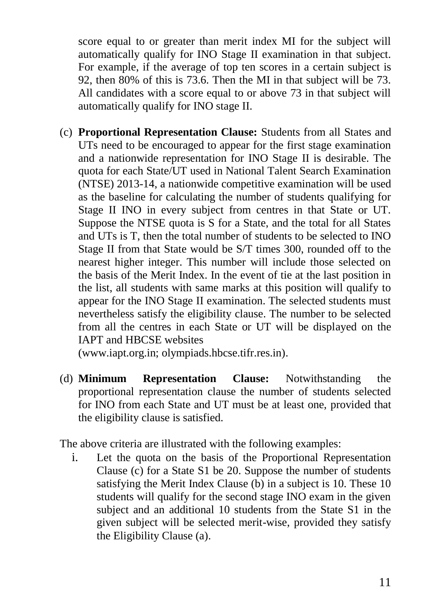score equal to or greater than merit index MI for the subject will automatically qualify for INO Stage II examination in that subject. For example, if the average of top ten scores in a certain subject is 92, then 80% of this is 73.6. Then the MI in that subject will be 73. All candidates with a score equal to or above 73 in that subject will automatically qualify for INO stage II.

(c) **Proportional Representation Clause:** Students from all States and UTs need to be encouraged to appear for the first stage examination and a nationwide representation for INO Stage II is desirable. The quota for each State/UT used in National Talent Search Examination (NTSE) 2013-14, a nationwide competitive examination will be used as the baseline for calculating the number of students qualifying for Stage II INO in every subject from centres in that State or UT. Suppose the NTSE quota is S for a State, and the total for all States and UTs is T, then the total number of students to be selected to INO Stage II from that State would be S/T times 300, rounded off to the nearest higher integer. This number will include those selected on the basis of the Merit Index. In the event of tie at the last position in the list, all students with same marks at this position will qualify to appear for the INO Stage II examination. The selected students must nevertheless satisfy the eligibility clause. The number to be selected from all the centres in each State or UT will be displayed on the IAPT and HBCSE websites

(www.iapt.org.in; olympiads.hbcse.tifr.res.in).

(d) **Minimum Representation Clause:** Notwithstanding the proportional representation clause the number of students selected for INO from each State and UT must be at least one, provided that the eligibility clause is satisfied.

The above criteria are illustrated with the following examples:

i. Let the quota on the basis of the Proportional Representation Clause (c) for a State S1 be 20. Suppose the number of students satisfying the Merit Index Clause (b) in a subject is 10. These 10 students will qualify for the second stage INO exam in the given subject and an additional 10 students from the State S1 in the given subject will be selected merit-wise, provided they satisfy the Eligibility Clause (a).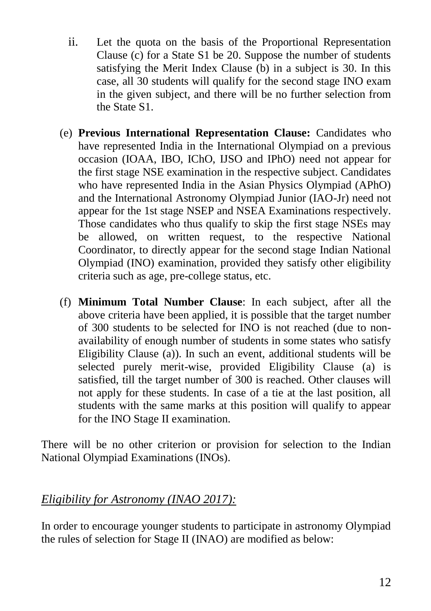- ii. Let the quota on the basis of the Proportional Representation Clause (c) for a State S1 be 20. Suppose the number of students satisfying the Merit Index Clause (b) in a subject is 30. In this case, all 30 students will qualify for the second stage INO exam in the given subject, and there will be no further selection from the State S1.
- (e) **Previous International Representation Clause:** Candidates who have represented India in the International Olympiad on a previous occasion (IOAA, IBO, IChO, IJSO and IPhO) need not appear for the first stage NSE examination in the respective subject. Candidates who have represented India in the Asian Physics Olympiad (APhO) and the International Astronomy Olympiad Junior (IAO-Jr) need not appear for the 1st stage NSEP and NSEA Examinations respectively. Those candidates who thus qualify to skip the first stage NSEs may be allowed, on written request, to the respective National Coordinator, to directly appear for the second stage Indian National Olympiad (INO) examination, provided they satisfy other eligibility criteria such as age, pre-college status, etc.
- (f) **Minimum Total Number Clause**: In each subject, after all the above criteria have been applied, it is possible that the target number of 300 students to be selected for INO is not reached (due to nonavailability of enough number of students in some states who satisfy Eligibility Clause (a)). In such an event, additional students will be selected purely merit-wise, provided Eligibility Clause (a) is satisfied, till the target number of 300 is reached. Other clauses will not apply for these students. In case of a tie at the last position, all students with the same marks at this position will qualify to appear for the INO Stage II examination.

There will be no other criterion or provision for selection to the Indian National Olympiad Examinations (INOs).

### *Eligibility for Astronomy (INAO 2017):*

In order to encourage younger students to participate in astronomy Olympiad the rules of selection for Stage II (INAO) are modified as below: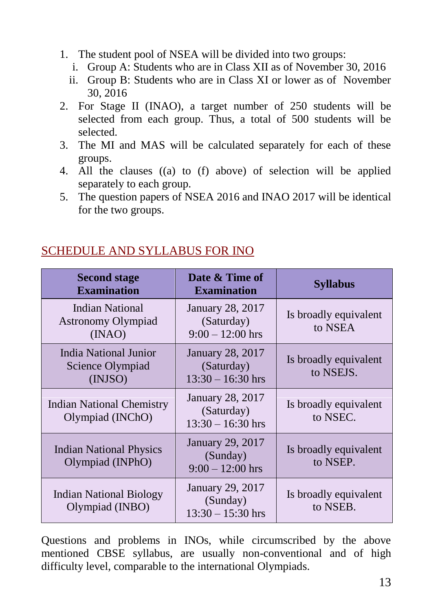- 1. The student pool of NSEA will be divided into two groups:
	- i. Group A: Students who are in Class XII as of November 30, 2016
	- ii. Group B: Students who are in Class XI or lower as of November 30, 2016
- 2. For Stage II (INAO), a target number of 250 students will be selected from each group. Thus, a total of 500 students will be selected.
- 3. The MI and MAS will be calculated separately for each of these groups.
- 4. All the clauses ((a) to (f) above) of selection will be applied separately to each group.
- 5. The question papers of NSEA 2016 and INAO 2017 will be identical for the two groups.

### SCHEDULE AND SYLLABUS FOR INO

| <b>Second stage</b><br><b>Examination</b>                   | Date & Time of<br><b>Examination</b>                  | <b>Syllabus</b>                    |
|-------------------------------------------------------------|-------------------------------------------------------|------------------------------------|
| Indian National<br><b>Astronomy Olympiad</b><br>(INAO)      | January 28, 2017<br>(Saturday)<br>$9:00 - 12:00$ hrs  | Is broadly equivalent<br>to NSEA   |
| <b>India National Junior</b><br>Science Olympiad<br>(INJSO) | January 28, 2017<br>(Saturday)<br>$13:30 - 16:30$ hrs | Is broadly equivalent<br>to NSEJS. |
| <b>Indian National Chemistry</b><br>Olympiad (INChO)        | January 28, 2017<br>(Saturday)<br>$13:30 - 16:30$ hrs | Is broadly equivalent<br>to NSEC.  |
| <b>Indian National Physics</b><br>Olympiad (INPhO)          | January 29, 2017<br>(Sunday)<br>$9:00 - 12:00$ hrs    | Is broadly equivalent<br>to NSEP.  |
| <b>Indian National Biology</b><br>Olympiad (INBO)           | January 29, 2017<br>(Sunday)<br>$13:30 - 15:30$ hrs   | Is broadly equivalent<br>to NSEB.  |

Questions and problems in INOs, while circumscribed by the above mentioned CBSE syllabus, are usually non-conventional and of high difficulty level, comparable to the international Olympiads.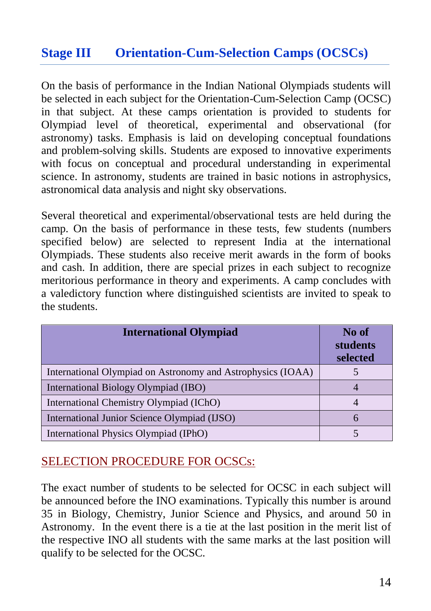### **Stage III Orientation-Cum-Selection Camps (OCSCs)**

On the basis of performance in the Indian National Olympiads students will be selected in each subject for the Orientation-Cum-Selection Camp (OCSC) in that subject. At these camps orientation is provided to students for Olympiad level of theoretical, experimental and observational (for astronomy) tasks. Emphasis is laid on developing conceptual foundations and problem-solving skills. Students are exposed to innovative experiments with focus on conceptual and procedural understanding in experimental science. In astronomy, students are trained in basic notions in astrophysics, astronomical data analysis and night sky observations.

Several theoretical and experimental/observational tests are held during the camp. On the basis of performance in these tests, few students (numbers specified below) are selected to represent India at the international Olympiads. These students also receive merit awards in the form of books and cash. In addition, there are special prizes in each subject to recognize meritorious performance in theory and experiments. A camp concludes with a valedictory function where distinguished scientists are invited to speak to the students.

| <b>International Olympiad</b>                               | No of<br>students<br>selected |
|-------------------------------------------------------------|-------------------------------|
| International Olympiad on Astronomy and Astrophysics (IOAA) |                               |
| International Biology Olympiad (IBO)                        |                               |
| International Chemistry Olympiad (IChO)                     |                               |
| International Junior Science Olympiad (IJSO)                |                               |
| International Physics Olympiad (IPhO)                       |                               |

### SELECTION PROCEDURE FOR OCSCs:

The exact number of students to be selected for OCSC in each subject will be announced before the INO examinations. Typically this number is around 35 in Biology, Chemistry, Junior Science and Physics, and around 50 in Astronomy. In the event there is a tie at the last position in the merit list of the respective INO all students with the same marks at the last position will qualify to be selected for the OCSC.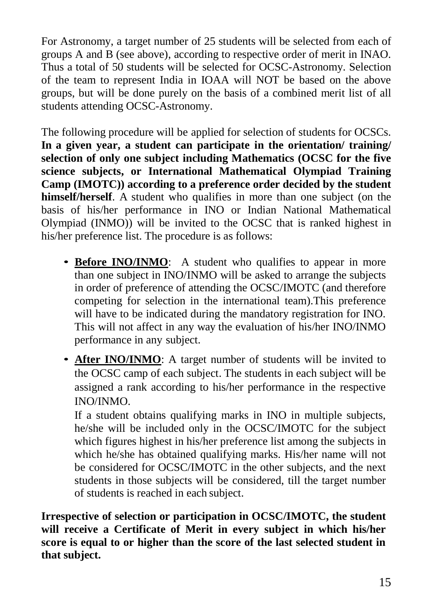For Astronomy, a target number of 25 students will be selected from each of groups A and B (see above), according to respective order of merit in INAO. Thus a total of 50 students will be selected for OCSC-Astronomy. Selection of the team to represent India in IOAA will NOT be based on the above groups, but will be done purely on the basis of a combined merit list of all students attending OCSC-Astronomy.

The following procedure will be applied for selection of students for OCSCs. **In a given year, a student can participate in the orientation/ training/ selection of only one subject including Mathematics (OCSC for the five science subjects, or International Mathematical Olympiad Training Camp (IMOTC)) according to a preference order decided by the student himself/herself**. A student who qualifies in more than one subject (on the basis of his/her performance in INO or Indian National Mathematical Olympiad (INMO)) will be invited to the OCSC that is ranked highest in his/her preference list. The procedure is as follows:

- **Before INO/INMO**: A student who qualifies to appear in more than one subject in INO/INMO will be asked to arrange the subjects in order of preference of attending the OCSC/IMOTC (and therefore competing for selection in the international team).This preference will have to be indicated during the mandatory registration for INO. This will not affect in any way the evaluation of his/her INO/INMO performance in any subject.
- *•* **After INO/INMO**: A target number of students will be invited to the OCSC camp of each subject. The students in each subject will be assigned a rank according to his/her performance in the respective INO/INMO.

If a student obtains qualifying marks in INO in multiple subjects, he/she will be included only in the OCSC/IMOTC for the subject which figures highest in his/her preference list among the subjects in which he/she has obtained qualifying marks. His/her name will not be considered for OCSC/IMOTC in the other subjects, and the next students in those subjects will be considered, till the target number of students is reached in each subject.

**Irrespective of selection or participation in OCSC/IMOTC, the student will receive a Certificate of Merit in every subject in which his/her score is equal to or higher than the score of the last selected student in that subject.**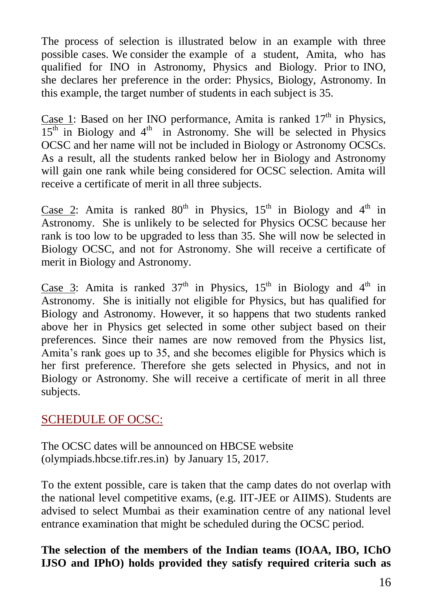The process of selection is illustrated below in an example with three possible cases. We consider the example of a student, Amita, who has qualified for INO in Astronomy, Physics and Biology. Prior to INO, she declares her preference in the order: Physics, Biology, Astronomy. In this example, the target number of students in each subject is 35.

Case 1: Based on her INO performance, Amita is ranked  $17<sup>th</sup>$  in Physics,  $15<sup>th</sup>$  in Biology and 4<sup>th</sup> in Astronomy. She will be selected in Physics OCSC and her name will not be included in Biology or Astronomy OCSCs. As a result, all the students ranked below her in Biology and Astronomy will gain one rank while being considered for OCSC selection. Amita will receive a certificate of merit in all three subjects.

Case 2: Amita is ranked  $80<sup>th</sup>$  in Physics,  $15<sup>th</sup>$  in Biology and  $4<sup>th</sup>$  in Astronomy. She is unlikely to be selected for Physics OCSC because her rank is too low to be upgraded to less than 35. She will now be selected in Biology OCSC, and not for Astronomy. She will receive a certificate of merit in Biology and Astronomy.

Case 3: Amita is ranked  $37<sup>th</sup>$  in Physics,  $15<sup>th</sup>$  in Biology and  $4<sup>th</sup>$  in Astronomy. She is initially not eligible for Physics, but has qualified for Biology and Astronomy. However, it so happens that two students ranked above her in Physics get selected in some other subject based on their preferences. Since their names are now removed from the Physics list, Amita's rank goes up to 35, and she becomes eligible for Physics which is her first preference. Therefore she gets selected in Physics, and not in Biology or Astronomy. She will receive a certificate of merit in all three subjects.

### SCHEDULE OF OCSC:

The OCSC dates will be announced on HBCSE website (olympiads.hbcse.tifr.res.in) by January 15, 2017.

To the extent possible, care is taken that the camp dates do not overlap with the national level competitive exams, (e.g. IIT-JEE or AIIMS). Students are advised to select Mumbai as their examination centre of any national level entrance examination that might be scheduled during the OCSC period.

**The selection of the members of the Indian teams (IOAA, IBO, IChO IJSO and IPhO) holds provided they satisfy required criteria such as**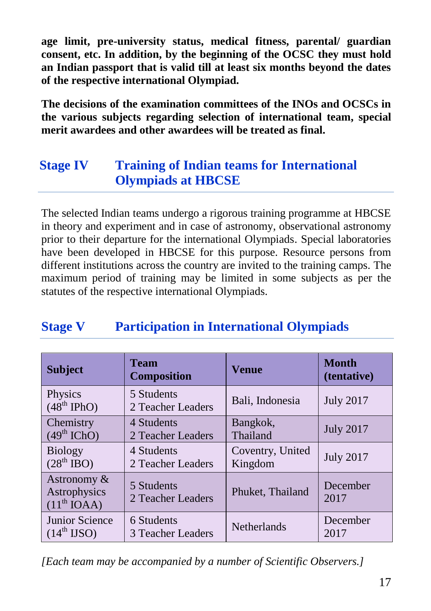**age limit, pre-university status, medical fitness, parental/ guardian consent, etc. In addition, by the beginning of the OCSC they must hold an Indian passport that is valid till at least six months beyond the dates of the respective international Olympiad.**

**The decisions of the examination committees of the INOs and OCSCs in the various subjects regarding selection of international team, special merit awardees and other awardees will be treated as final.** 

# **Stage IV Training of Indian teams for International Olympiads at HBCSE**

The selected Indian teams undergo a rigorous training programme at HBCSE in theory and experiment and in case of astronomy, observational astronomy prior to their departure for the international Olympiads. Special laboratories have been developed in HBCSE for this purpose. Resource persons from different institutions across the country are invited to the training camps. The maximum period of training may be limited in some subjects as per the statutes of the respective international Olympiads.

# **Stage V Participation in International Olympiads**

| <b>Subject</b>                                         | <b>Team</b><br><b>Composition</b> | <b>Venue</b>       | <b>Month</b><br>(tentative) |
|--------------------------------------------------------|-----------------------------------|--------------------|-----------------------------|
| Physics<br>$(48th$ IPhO)                               | 5 Students<br>2 Teacher Leaders   | Bali, Indonesia    | <b>July 2017</b>            |
| Chemistry                                              | 4 Students                        | Bangkok,           | <b>July 2017</b>            |
| $(49th$ IChO)                                          | 2 Teacher Leaders                 | Thailand           |                             |
| <b>Biology</b>                                         | 4 Students                        | Coventry, United   | <b>July 2017</b>            |
| $(28th$ IBO)                                           | 2 Teacher Leaders                 | Kingdom            |                             |
| Astronomy &<br>Astrophysics<br>(11 <sup>th</sup> IOAA) | 5 Students<br>2 Teacher Leaders   | Phuket, Thailand   | December<br>2017            |
| Junior Science                                         | 6 Students                        | <b>Netherlands</b> | December                    |
| $(14^{\text{th}} \text{ IJSO})$                        | 3 Teacher Leaders                 |                    | 2017                        |

*[Each team may be accompanied by a number of Scientific Observers.]*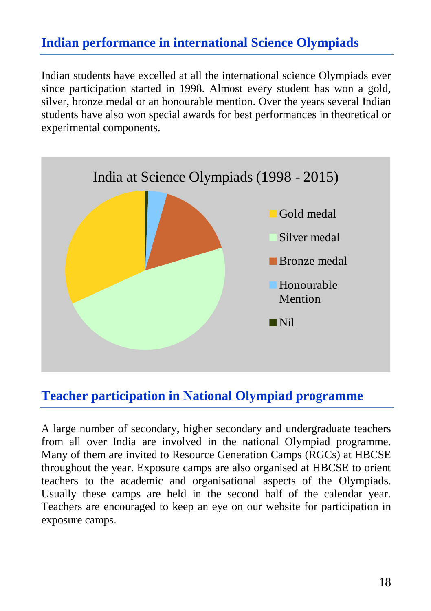### **Indian performance in international Science Olympiads**

Indian students have excelled at all the international science Olympiads ever since participation started in 1998. Almost every student has won a gold, silver, bronze medal or an honourable mention. Over the years several Indian students have also won special awards for best performances in theoretical or experimental components.



### **Teacher participation in National Olympiad programme**

A large number of secondary, higher secondary and undergraduate teachers from all over India are involved in the national Olympiad programme. Many of them are invited to Resource Generation Camps (RGCs) at HBCSE throughout the year. Exposure camps are also organised at HBCSE to orient teachers to the academic and organisational aspects of the Olympiads. Usually these camps are held in the second half of the calendar year. Teachers are encouraged to keep an eye on our website for participation in exposure camps.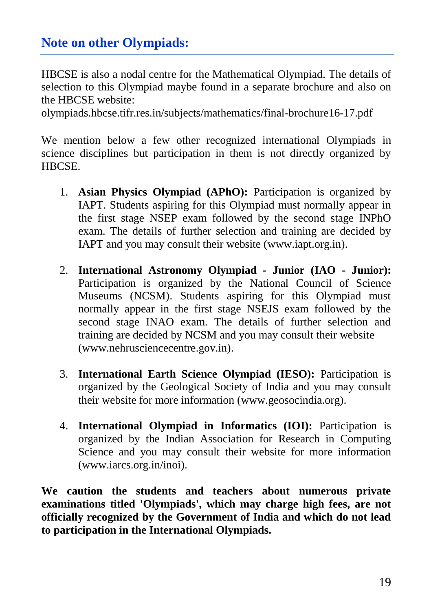### **Note on other Olympiads:**

HBCSE is also a nodal centre for the Mathematical Olympiad. The details of selection to this Olympiad maybe found in a separate brochure and also on the HBCSE website:

olympiads.hbcse.tifr.res.in/subjects/mathematics/final-brochure16-17.pdf

We mention below a few other recognized international Olympiads in science disciplines but participation in them is not directly organized by HBCSE.

- 1. **Asian Physics Olympiad (APhO):** Participation is organized by IAPT. Students aspiring for this Olympiad must normally appear in the first stage NSEP exam followed by the second stage INPhO exam. The details of further selection and training are decided by IAPT and you may consult their website (www.iapt.org.in).
- 2. **International Astronomy Olympiad - Junior (IAO - Junior):**  Participation is organized by the National Council of Science Museums (NCSM). Students aspiring for this Olympiad must normally appear in the first stage NSEJS exam followed by the second stage INAO exam. The details of further selection and training are decided by NCSM and you may consult their website (www.nehrusciencecentre.gov.in).
- 3. **International Earth Science Olympiad (IESO):** Participation is organized by the Geological Society of India and you may consult their website for more information (www.geosocindia.org).
- 4. **International Olympiad in Informatics (IOI):** Participation is organized by the Indian Association for Research in Computing Science and you may consult their website for more information (www.iarcs.org.in/inoi).

**We caution the students and teachers about numerous private examinations titled 'Olympiads', which may charge high fees, are not officially recognized by the Government of India and which do not lead to participation in the International Olympiads.**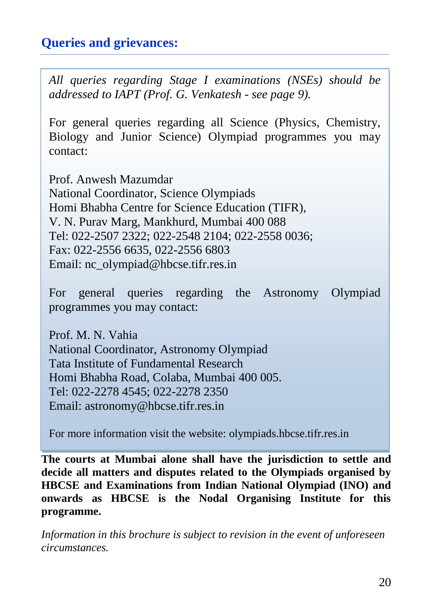### **Queries and grievances:**

*All queries regarding Stage I examinations (NSEs) should be addressed to IAPT (Prof. G. Venkatesh - see page 9).*

For general queries regarding all Science (Physics, Chemistry, Biology and Junior Science) Olympiad programmes you may contact:

Prof. Anwesh Mazumdar National Coordinator, Science Olympiads Homi Bhabha Centre for Science Education (TIFR), V. N. Purav Marg, Mankhurd, Mumbai 400 088 Tel: 022-2507 2322; 022-2548 2104; 022-2558 0036; Fax: 022-2556 6635, 022-2556 6803 Email: nc\_olympiad@hbcse.tifr.res.in

For general queries regarding the Astronomy Olympiad programmes you may contact:

Prof. M. N. Vahia National Coordinator, Astronomy Olympiad Tata Institute of Fundamental Research Homi Bhabha Road, Colaba, Mumbai 400 005. Tel: 022-2278 4545; 022-2278 2350 Email: astronomy@hbcse.tifr.res.in

For more information visit the website: olympiads.hbcse.tifr.res.in

**The courts at Mumbai alone shall have the jurisdiction to settle and decide all matters and disputes related to the Olympiads organised by HBCSE and Examinations from Indian National Olympiad (INO) and onwards as HBCSE is the Nodal Organising Institute for this programme.**  $\sum_{i=1}^n$ 

*Information in this brochure is subject to revision in the event of unforeseen circumstances.*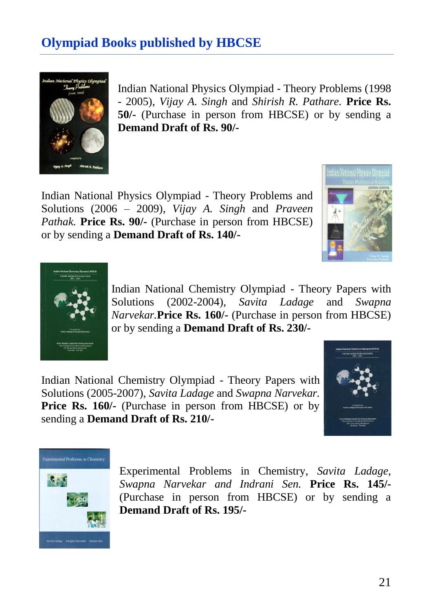# **Olympiad Books published by HBCSE**



Indian National Physics Olympiad - Theory Problems (1998 - 2005), *Vijay A. Singh* and *Shirish R. Pathare.* **Price Rs. 50/-** (Purchase in person from HBCSE) or by sending a **Demand Draft of Rs. 90/-**

Indian National Physics Olympiad - Theory Problems and Solutions (2006 – 2009), *Vijay A. Singh* and *Praveen Pathak.* **Price Rs. 90/-** (Purchase in person from HBCSE) or by sending a **Demand Draft of Rs. 140/-**





Indian National Chemistry Olympiad - Theory Papers with Solutions (2002-2004), *Savita Ladage* and *Swapna Narvekar.***Price Rs. 160/-** (Purchase in person from HBCSE) or by sending a **Demand Draft of Rs. 230/-**

Indian National Chemistry Olympiad - Theory Papers with Solutions (2005-2007), *Savita Ladage* and *Swapna Narvekar.* **Price Rs. 160/-** (Purchase in person from HBCSE) or by sending a **Demand Draft of Rs. 210/-**





Experimental Problems in Chemistry, *Savita Ladage, Swapna Narvekar and Indrani Sen.* **Price Rs. 145/-** (Purchase in person from HBCSE) or by sending a **Demand Draft of Rs. 195/-**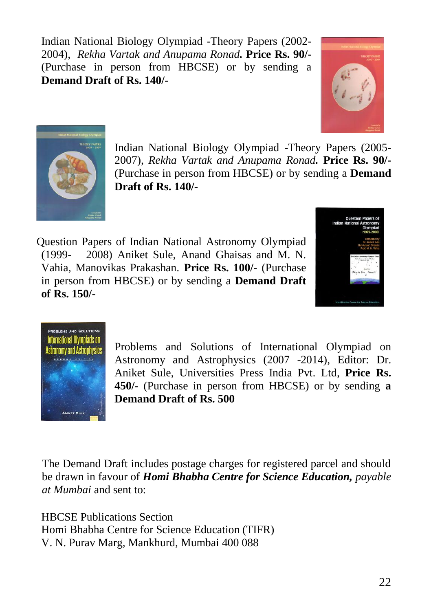Indian National Biology Olympiad -Theory Papers (2002- 2004), *Rekha Vartak and Anupama Ronad.* **Price Rs. 90/-** (Purchase in person from HBCSE) or by sending a **Demand Draft of Rs. 140/-**





Indian National Biology Olympiad -Theory Papers (2005- 2007), *Rekha Vartak and Anupama Ronad.* **Price Rs. 90/-** (Purchase in person from HBCSE) or by sending a **Demand Draft of Rs. 140/-**

Question Papers of Indian National Astronomy Olympiad (1999-2008) Aniket Sule, Anand Ghaisas and M. N. Vahia, Manovikas Prakashan. **Price Rs. 100/-** (Purchase in person from HBCSE) or by sending a **Demand Draft of Rs. 150/-**





Problems and Solutions of International Olympiad on Astronomy and Astrophysics (2007 -2014), Editor: Dr. Aniket Sule, Universities Press India Pvt. Ltd, **Price Rs. 450/-** (Purchase in person from HBCSE) or by sending **a Demand Draft of Rs. 500**

The Demand Draft includes postage charges for registered parcel and should be drawn in favour of *Homi Bhabha Centre for Science Education, payable at Mumbai* and sent to:

HBCSE Publications Section Homi Bhabha Centre for Science Education (TIFR) V. N. Purav Marg, Mankhurd, Mumbai 400 088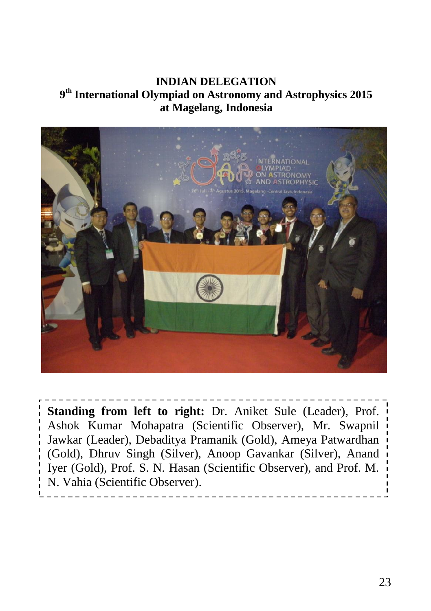#### **INDIAN DELEGATION 9 th International Olympiad on Astronomy and Astrophysics 2015 at Magelang, Indonesia**



**Standing from left to right:** Dr. Aniket Sule (Leader), Prof. Ashok Kumar Mohapatra (Scientific Observer), Mr. Swapnil Jawkar (Leader), Debaditya Pramanik (Gold), Ameya Patwardhan (Gold), Dhruv Singh (Silver), Anoop Gavankar (Silver), Anand Iyer (Gold), Prof. S. N. Hasan (Scientific Observer), and Prof. M. N. Vahia (Scientific Observer).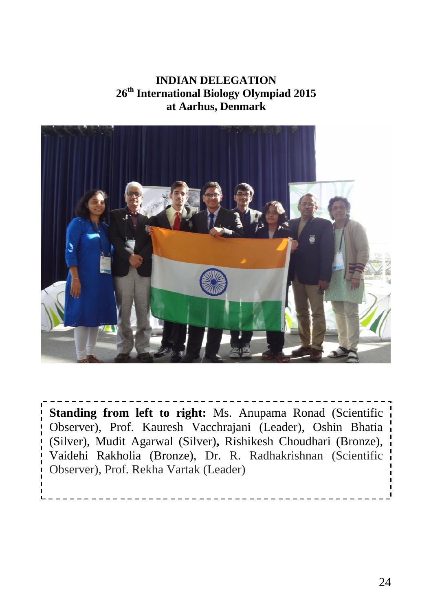#### **INDIAN DELEGATION 26th International Biology Olympiad 2015 at Aarhus, Denmark**



**Standing from left to right:** Ms. Anupama Ronad (Scientific Observer), Prof. Kauresh Vacchrajani (Leader), Oshin Bhatia (Silver), Mudit Agarwal (Silver)**,** Rishikesh Choudhari (Bronze), Vaidehi Rakholia (Bronze), Dr. R. Radhakrishnan (Scientific Observer), Prof. Rekha Vartak (Leader)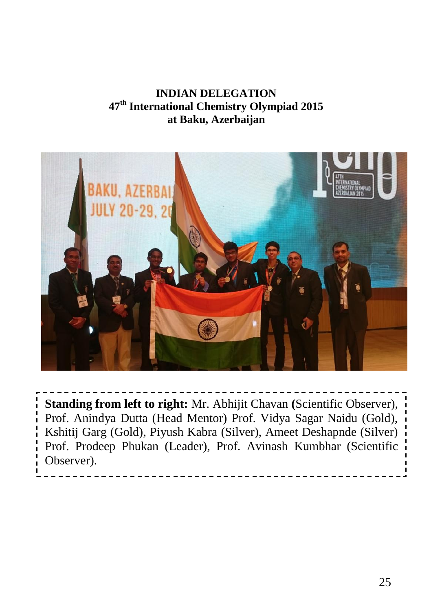### **INDIAN DELEGATION 47th International Chemistry Olympiad 2015 at Baku, Azerbaijan**



**Standing from left to right:** Mr. Abhijit Chavan **(**Scientific Observer), Prof. Anindya Dutta (Head Mentor) Prof. Vidya Sagar Naidu (Gold), Kshitij Garg (Gold), Piyush Kabra (Silver), Ameet Deshapnde (Silver) Prof. Prodeep Phukan (Leader), Prof. Avinash Kumbhar (Scientific Observer).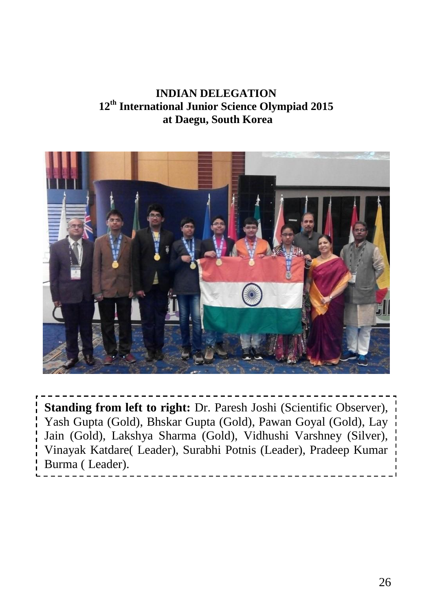**INDIAN DELEGATION 12th International Junior Science Olympiad 2015 at Daegu, South Korea**



**Standing from left to right:** Dr. Paresh Joshi (Scientific Observer), Yash Gupta (Gold), Bhskar Gupta (Gold), Pawan Goyal (Gold), Lay Jain (Gold), Lakshya Sharma (Gold), Vidhushi Varshney (Silver), Vinayak Katdare( Leader), Surabhi Potnis (Leader), Pradeep Kumar Burma ( Leader).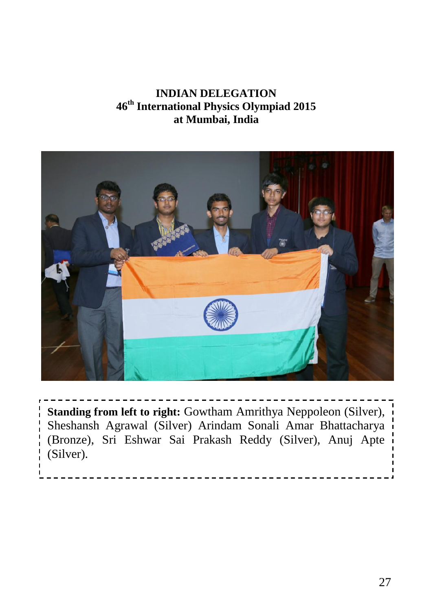#### **INDIAN DELEGATION 46 th International Physics Olympiad 2015 at Mumbai, India**



**Standing from left to right:** Gowtham Amrithya Neppoleon (Silver), Sheshansh Agrawal (Silver) Arindam Sonali Amar Bhattacharya (Bronze), Sri Eshwar Sai Prakash Reddy (Silver), Anuj Apte (Silver).